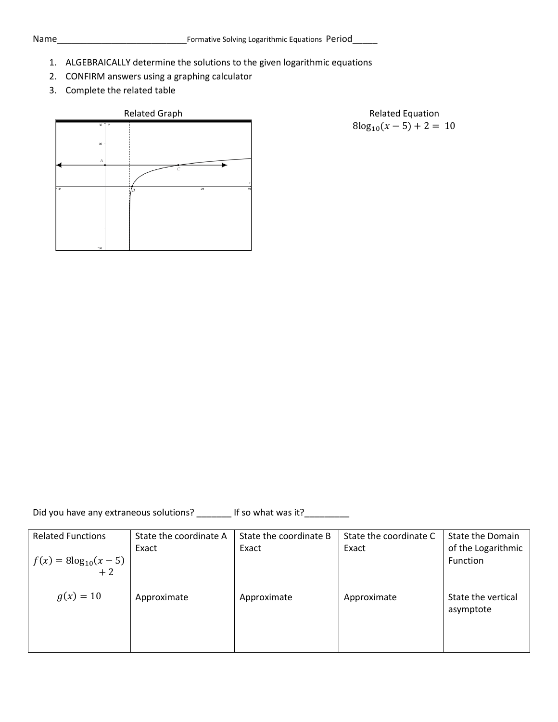- 1. ALGEBRAICALLY determine the solutions to the given logarithmic equations
- 2. CONFIRM answers using a graphing calculator
- 3. Complete the related table

## Related Graph **Relation** Related Equation

 $8\log_{10}(x-5) + 2 = 10$ 

Did you have any extraneous solutions? \_\_\_\_\_\_\_\_ If so what was it? \_\_\_\_\_\_\_\_\_\_\_\_\_

| <b>Related Functions</b> | State the coordinate A | State the coordinate B | State the coordinate C | State the Domain               |
|--------------------------|------------------------|------------------------|------------------------|--------------------------------|
| $f(x) = 8\log_{10}(x-5)$ | Exact                  | Exact                  | Exact                  | of the Logarithmic<br>Function |
| $+2$                     |                        |                        |                        |                                |
|                          |                        |                        |                        |                                |
| $g(x) = 10$              | Approximate            | Approximate            | Approximate            | State the vertical             |
|                          |                        |                        |                        | asymptote                      |
|                          |                        |                        |                        |                                |
|                          |                        |                        |                        |                                |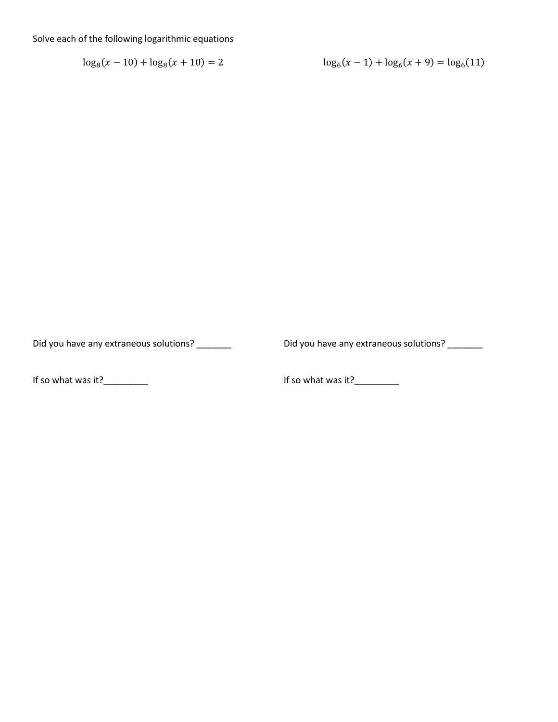Solve each of the following logarithmic equations

 $\log_8(x-10) + \log_8(x+10) = 2$ 

$$
\log_6(x-1) + \log_6(x+9) = \log_6(11)
$$

Did you have any extraneous solutions? \_\_\_\_\_\_\_

Did you have any extraneous solutions? \_\_\_\_\_\_\_\_

If so what was it?\_\_\_\_\_\_\_\_\_\_\_

If so what was it?\_\_\_\_\_\_\_\_\_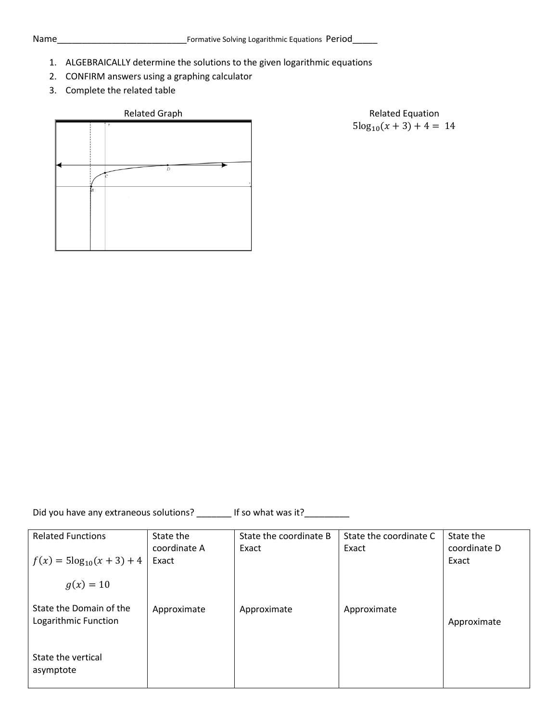- 1. ALGEBRAICALLY determine the solutions to the given logarithmic equations
- 2. CONFIRM answers using a graphing calculator
- 3. Complete the related table



Related Graph **Relation** Related Equation  $5\log_{10}(x+3) + 4 = 14$ 

Did you have any extraneous solutions? \_\_\_\_\_\_\_\_ If so what was it? \_\_\_\_\_\_\_\_\_\_\_\_\_

| <b>Related Functions</b>                        | State the<br>coordinate A | State the coordinate B<br>Exact | State the coordinate C<br>Exact | State the<br>coordinate D |
|-------------------------------------------------|---------------------------|---------------------------------|---------------------------------|---------------------------|
| $f(x) = 5\log_{10}(x+3) + 4$                    | Exact                     |                                 |                                 | Exact                     |
| $g(x) = 10$                                     |                           |                                 |                                 |                           |
| State the Domain of the<br>Logarithmic Function | Approximate               | Approximate                     | Approximate                     | Approximate               |
| State the vertical<br>asymptote                 |                           |                                 |                                 |                           |